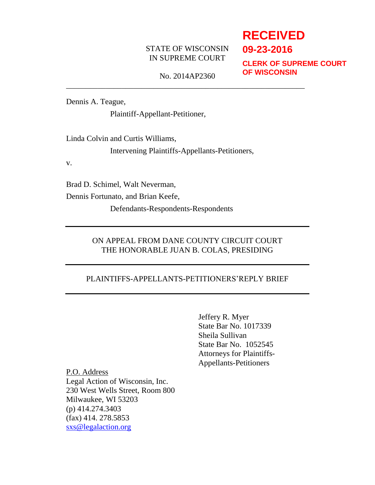# STATE OF WISCONSIN IN SUPREME COURT

# **RECEIVED 09-23-2016**

**CLERK OF SUPREME COURT OF WISCONSIN**

No. 2014AP2360 \_\_\_\_\_\_\_\_\_\_\_\_\_\_\_\_\_\_\_\_\_\_\_\_\_\_\_\_\_\_\_\_\_\_\_\_\_\_\_\_\_\_\_\_\_\_\_\_\_\_\_\_\_\_\_\_\_\_\_\_

Dennis A. Teague,

Plaintiff-Appellant-Petitioner,

Linda Colvin and Curtis Williams,

Intervening Plaintiffs-Appellants-Petitioners,

v.

Brad D. Schimel, Walt Neverman,

Dennis Fortunato, and Brian Keefe,

Defendants-Respondents-Respondents

# ON APPEAL FROM DANE COUNTY CIRCUIT COURT THE HONORABLE JUAN B. COLAS, PRESIDING

# PLAINTIFFS-APPELLANTS-PETITIONERS'REPLY BRIEF

Jeffery R. Myer State Bar No. 1017339 Sheila Sullivan State Bar No. 1052545 Attorneys for Plaintiffs-Appellants-Petitioners

P.O. Address Legal Action of Wisconsin, Inc. 230 West Wells Street, Room 800 Milwaukee, WI 53203 (p) 414.274.3403 (fax) 414. 278.5853 [sxs@legalaction.org](mailto:sxs@legalaction.org)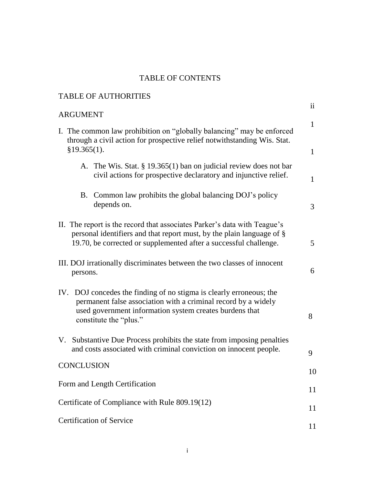# TABLE OF CONTENTS

| <b>TABLE OF AUTHORITIES</b>                                                                                                                                                                                                |                              |
|----------------------------------------------------------------------------------------------------------------------------------------------------------------------------------------------------------------------------|------------------------------|
| <b>ARGUMENT</b>                                                                                                                                                                                                            | $\mathbf{ii}$                |
| I. The common law prohibition on "globally balancing" may be enforced<br>through a civil action for prospective relief notwithstanding Wis. Stat.<br>§19.365(1).                                                           | $\mathbf{1}$<br>$\mathbf{1}$ |
| A. The Wis. Stat. § 19.365(1) ban on judicial review does not bar<br>civil actions for prospective declaratory and injunctive relief.                                                                                      | $\mathbf{1}$                 |
| Common law prohibits the global balancing DOJ's policy<br>B.<br>depends on.                                                                                                                                                | 3                            |
| II. The report is the record that associates Parker's data with Teague's<br>personal identifiers and that report must, by the plain language of §<br>19.70, be corrected or supplemented after a successful challenge.     | 5                            |
| III. DOJ irrationally discriminates between the two classes of innocent<br>persons.                                                                                                                                        | 6                            |
| IV. DOJ concedes the finding of no stigma is clearly erroneous; the<br>permanent false association with a criminal record by a widely<br>used government information system creates burdens that<br>constitute the "plus." | 8                            |
| V. Substantive Due Process prohibits the state from imposing penalties<br>and costs associated with criminal conviction on innocent people.                                                                                | 9                            |
| CONCLUSION                                                                                                                                                                                                                 | 10                           |
| Form and Length Certification                                                                                                                                                                                              | 11                           |
| Certificate of Compliance with Rule 809.19(12)                                                                                                                                                                             | 11                           |
| <b>Certification of Service</b>                                                                                                                                                                                            | 11                           |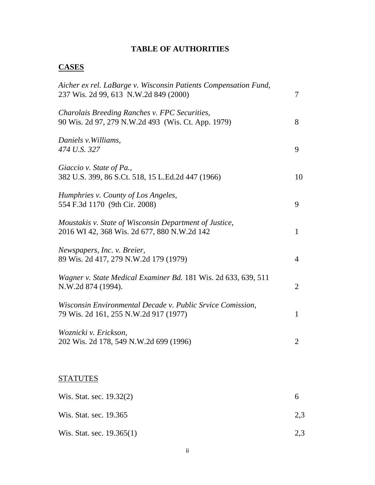# **TABLE OF AUTHORITIES**

# **CASES**

| Aicher ex rel. LaBarge v. Wisconsin Patients Compensation Fund,<br>237 Wis. 2d 99, 613 N.W.2d 849 (2000) | 7              |
|----------------------------------------------------------------------------------------------------------|----------------|
| Charolais Breeding Ranches v. FPC Securities,<br>90 Wis. 2d 97, 279 N.W.2d 493 (Wis. Ct. App. 1979)      | 8              |
| Daniels v. Williams,<br>474 U.S. 327                                                                     | 9              |
| Giaccio v. State of Pa.,<br>382 U.S. 399, 86 S.Ct. 518, 15 L.Ed.2d 447 (1966)                            | 10             |
| Humphries v. County of Los Angeles,<br>554 F.3d 1170 (9th Cir. 2008)                                     | 9              |
| Moustakis v. State of Wisconsin Department of Justice,<br>2016 WI 42, 368 Wis. 2d 677, 880 N.W.2d 142    | $\mathbf{1}$   |
| Newspapers, Inc. v. Breier,<br>89 Wis. 2d 417, 279 N.W.2d 179 (1979)                                     | $\overline{4}$ |
| Wagner v. State Medical Examiner Bd. 181 Wis. 2d 633, 639, 511<br>N.W.2d 874 (1994).                     | $\overline{2}$ |
| Wisconsin Environmental Decade v. Public Srvice Comission,<br>79 Wis. 2d 161, 255 N.W.2d 917 (1977)      | $\mathbf{1}$   |
| Woznicki v. Erickson,<br>202 Wis. 2d 178, 549 N.W.2d 699 (1996)                                          | $\overline{2}$ |
|                                                                                                          |                |
| <b>STATUTES</b>                                                                                          |                |

| Wis. Stat. sec. 19.32(2)  |     |
|---------------------------|-----|
| Wis. Stat. sec. 19.365    | 2.3 |
| Wis. Stat. sec. 19.365(1) | 2.3 |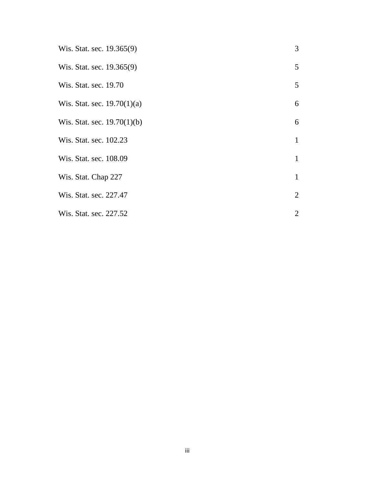| Wis. Stat. sec. 19.365(9)     | $\mathfrak{Z}$  |
|-------------------------------|-----------------|
| Wis. Stat. sec. 19.365(9)     | 5               |
| Wis. Stat. sec. 19.70         | $5\overline{)}$ |
| Wis. Stat. sec. $19.70(1)(a)$ | 6               |
| Wis. Stat. sec. $19.70(1)(b)$ | 6               |
| Wis. Stat. sec. 102.23        | $\mathbf{1}$    |
| Wis. Stat. sec. 108.09        | $\mathbf{1}$    |
| Wis. Stat. Chap 227           | $\mathbf{1}$    |
| Wis. Stat. sec. 227.47        | $\overline{2}$  |
| Wis. Stat. sec. 227.52        | $\overline{2}$  |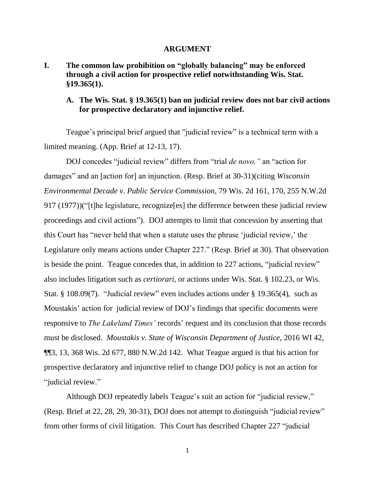#### **ARGUMENT**

**I. The common law prohibition on "globally balancing" may be enforced through a civil action for prospective relief notwithstanding Wis. Stat. §19.365(1).**

# **A. The Wis. Stat. § 19.365(1) ban on judicial review does not bar civil actions for prospective declaratory and injunctive relief.**

Teague's principal brief argued that "judicial review" is a technical term with a limited meaning. (App. Brief at 12-13, 17).

DOJ concedes "judicial review" differs from "trial *de novo,"* an "action for damages" and an [action for] an injunction. (Resp. Brief at 30-31)(citing *Wisconsin Environmental Decade v. Public Service Commission,* 79 Wis. 2d 161, 170, 255 N.W.2d 917 (1977))("[t]he legislature, recognize[es] the difference between these judicial review proceedings and civil actions"). DOJ attempts to limit that concession by asserting that this Court has "never held that when a statute uses the phrase 'judicial review,' the Legislature only means actions under Chapter 227." (Resp. Brief at 30). That observation is beside the point. Teague concedes that, in addition to 227 actions, "judicial review" also includes litigation such as *certiorari,* or actions under Wis. Stat. § 102.23, or Wis. Stat. § 108.09(7). "Judicial review" even includes actions under § 19.365(4), such as Moustakis' action for judicial review of DOJ's findings that specific documents were responsive to *The Lakeland Times'* records' request and its conclusion that those records must be disclosed. *Moustakis v. State of Wisconsin Department of Justice,* 2016 WI 42, ¶¶3, 13, 368 Wis. 2d 677, 880 N.W.2d 142. What Teague argued is that his action for prospective declaratory and injunctive relief to change DOJ policy is not an action for "judicial review."

Although DOJ repeatedly labels Teague's suit an action for "judicial review," (Resp. Brief at 22, 28, 29, 30-31), DOJ does not attempt to distinguish "judicial review" from other forms of civil litigation. This Court has described Chapter 227 "judicial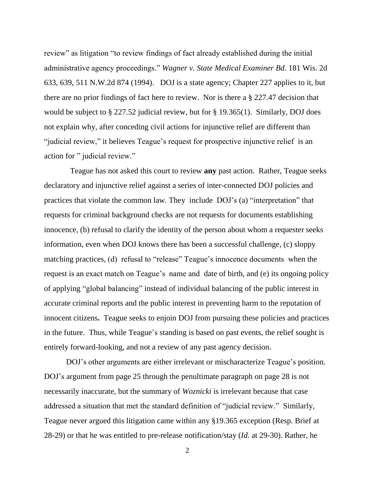review" as litigation "to review findings of fact already established during the initial administrative agency proceedings." *Wagner v. State Medical Examiner Bd.* 181 Wis. 2d 633, 639, 511 N.W.2d 874 (1994). DOJ is a state agency; Chapter 227 applies to it, but there are no prior findings of fact here to review. Nor is there a § 227.47 decision that would be subject to § 227.52 judicial review, but for § 19.365(1). Similarly, DOJ does not explain why, after conceding civil actions for injunctive relief are different than "judicial review," it believes Teague's request for prospective injunctive relief is an action for " judicial review."

 Teague has not asked this court to review **any** past action. Rather, Teague seeks declaratory and injunctive relief against a series of inter-connected DOJ policies and practices that violate the common law. They include DOJ's (a) "interpretation" that requests for criminal background checks are not requests for documents establishing innocence, (b) refusal to clarify the identity of the person about whom a requester seeks information, even when DOJ knows there has been a successful challenge, (c) sloppy matching practices, (d) refusal to "release" Teague's innocence documents when the request is an exact match on Teague's name and date of birth, and (e) its ongoing policy of applying "global balancing" instead of individual balancing of the public interest in accurate criminal reports and the public interest in preventing harm to the reputation of innocent citizens**.** Teague seeks to enjoin DOJ from pursuing these policies and practices in the future. Thus, while Teague's standing is based on past events, the relief sought is entirely forward-looking, and not a review of any past agency decision.

DOJ's other arguments are either irrelevant or mischaracterize Teague's position. DOJ's argument from page 25 through the penultimate paragraph on page 28 is not necessarily inaccurate, but the summary of *Woznicki* is irrelevant because that case addressed a situation that met the standard definition of "judicial review." Similarly, Teague never argued this litigation came within any §19.365 exception (Resp. Brief at 28-29) or that he was entitled to pre-release notification/stay (*Id.* at 29-30). Rather, he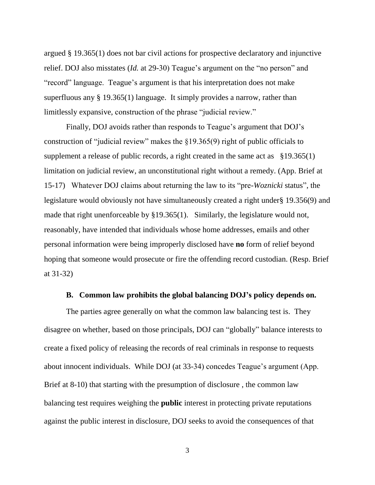argued § 19.365(1) does not bar civil actions for prospective declaratory and injunctive relief. DOJ also misstates (*Id.* at 29-30) Teague's argument on the "no person" and "record" language. Teague's argument is that his interpretation does not make superfluous any § 19.365(1) language. It simply provides a narrow, rather than limitlessly expansive, construction of the phrase "judicial review."

Finally, DOJ avoids rather than responds to Teague's argument that DOJ's construction of "judicial review" makes the §19.365(9) right of public officials to supplement a release of public records, a right created in the same act as  $\S 19.365(1)$ limitation on judicial review, an unconstitutional right without a remedy. (App. Brief at 15-17) Whatever DOJ claims about returning the law to its "pre-*Woznicki* status", the legislature would obviously not have simultaneously created a right under§ 19.356(9) and made that right unenforceable by §19.365(1). Similarly, the legislature would not, reasonably, have intended that individuals whose home addresses, emails and other personal information were being improperly disclosed have **no** form of relief beyond hoping that someone would prosecute or fire the offending record custodian. (Resp. Brief at 31-32)

#### **B. Common law prohibits the global balancing DOJ's policy depends on.**

The parties agree generally on what the common law balancing test is. They disagree on whether, based on those principals, DOJ can "globally" balance interests to create a fixed policy of releasing the records of real criminals in response to requests about innocent individuals. While DOJ (at 33-34) concedes Teague's argument (App. Brief at 8-10) that starting with the presumption of disclosure , the common law balancing test requires weighing the **public** interest in protecting private reputations against the public interest in disclosure, DOJ seeks to avoid the consequences of that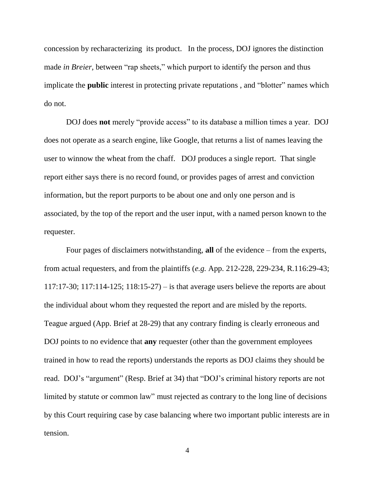concession by recharacterizing its product. In the process, DOJ ignores the distinction made *in Breier*, between "rap sheets," which purport to identify the person and thus implicate the **public** interest in protecting private reputations , and "blotter" names which do not.

DOJ does **not** merely "provide access" to its database a million times a year. DOJ does not operate as a search engine, like Google, that returns a list of names leaving the user to winnow the wheat from the chaff. DOJ produces a single report. That single report either says there is no record found, or provides pages of arrest and conviction information, but the report purports to be about one and only one person and is associated, by the top of the report and the user input, with a named person known to the requester.

Four pages of disclaimers notwithstanding, **all** of the evidence – from the experts, from actual requesters, and from the plaintiffs (*e.g.* App. 212-228, 229-234, R.116:29-43; 117:17-30; 117:114-125; 118:15-27) – is that average users believe the reports are about the individual about whom they requested the report and are misled by the reports. Teague argued (App. Brief at 28-29) that any contrary finding is clearly erroneous and DOJ points to no evidence that **any** requester (other than the government employees trained in how to read the reports) understands the reports as DOJ claims they should be read. DOJ's "argument" (Resp. Brief at 34) that "DOJ's criminal history reports are not limited by statute or common law" must rejected as contrary to the long line of decisions by this Court requiring case by case balancing where two important public interests are in tension.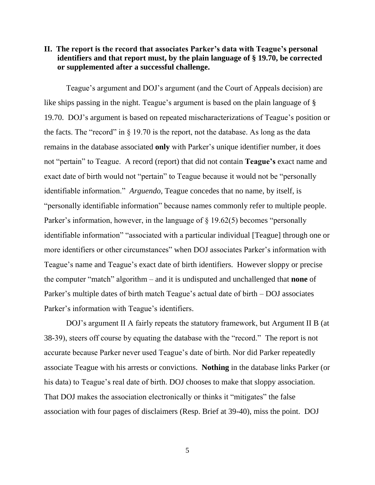# **II. The report is the record that associates Parker's data with Teague's personal identifiers and that report must, by the plain language of § 19.70, be corrected or supplemented after a successful challenge.**

Teague's argument and DOJ's argument (and the Court of Appeals decision) are like ships passing in the night. Teague's argument is based on the plain language of § 19.70. DOJ's argument is based on repeated mischaracterizations of Teague's position or the facts. The "record" in  $\S$  19.70 is the report, not the database. As long as the data remains in the database associated **only** with Parker's unique identifier number, it does not "pertain" to Teague. A record (report) that did not contain **Teague's** exact name and exact date of birth would not "pertain" to Teague because it would not be "personally identifiable information." *Arguendo*, Teague concedes that no name, by itself, is "personally identifiable information" because names commonly refer to multiple people. Parker's information, however, in the language of § 19.62(5) becomes "personally identifiable information" "associated with a particular individual [Teague] through one or more identifiers or other circumstances" when DOJ associates Parker's information with Teague's name and Teague's exact date of birth identifiers. However sloppy or precise the computer "match" algorithm – and it is undisputed and unchallenged that **none** of Parker's multiple dates of birth match Teague's actual date of birth – DOJ associates Parker's information with Teague's identifiers.

DOJ's argument II A fairly repeats the statutory framework, but Argument II B (at 38-39), steers off course by equating the database with the "record." The report is not accurate because Parker never used Teague's date of birth. Nor did Parker repeatedly associate Teague with his arrests or convictions. **Nothing** in the database links Parker (or his data) to Teague's real date of birth. DOJ chooses to make that sloppy association. That DOJ makes the association electronically or thinks it "mitigates" the false association with four pages of disclaimers (Resp. Brief at 39-40), miss the point. DOJ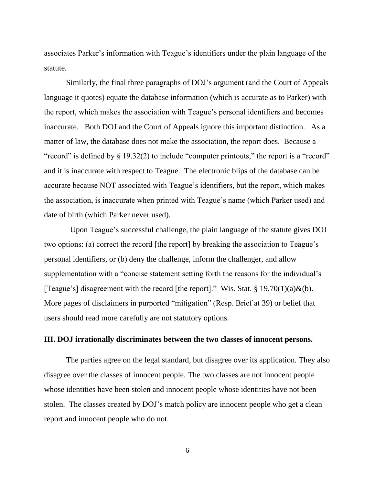associates Parker's information with Teague's identifiers under the plain language of the statute.

Similarly, the final three paragraphs of DOJ's argument (and the Court of Appeals language it quotes) equate the database information (which is accurate as to Parker) with the report, which makes the association with Teague's personal identifiers and becomes inaccurate. Both DOJ and the Court of Appeals ignore this important distinction. As a matter of law, the database does not make the association, the report does. Because a " record" is defined by  $\S$  19.32(2) to include "computer printouts," the report is a "record" and it is inaccurate with respect to Teague. The electronic blips of the database can be accurate because NOT associated with Teague's identifiers, but the report, which makes the association, is inaccurate when printed with Teague's name (which Parker used) and date of birth (which Parker never used).

 Upon Teague's successful challenge, the plain language of the statute gives DOJ two options: (a) correct the record [the report] by breaking the association to Teague's personal identifiers, or (b) deny the challenge, inform the challenger, and allow supplementation with a "concise statement setting forth the reasons for the individual's [Teague's] disagreement with the record [the report]." Wis. Stat. § 19.70(1)(a)&(b). More pages of disclaimers in purported "mitigation" (Resp. Brief at 39) or belief that users should read more carefully are not statutory options.

#### **III. DOJ irrationally discriminates between the two classes of innocent persons.**

The parties agree on the legal standard, but disagree over its application. They also disagree over the classes of innocent people. The two classes are not innocent people whose identities have been stolen and innocent people whose identities have not been stolen. The classes created by DOJ's match policy are innocent people who get a clean report and innocent people who do not.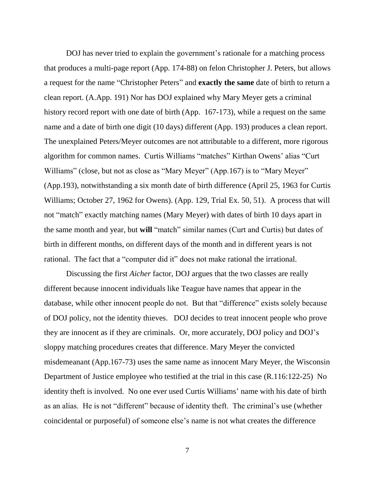DOJ has never tried to explain the government's rationale for a matching process that produces a multi-page report (App. 174-88) on felon Christopher J. Peters, but allows a request for the name "Christopher Peters" and **exactly the same** date of birth to return a clean report. (A.App. 191) Nor has DOJ explained why Mary Meyer gets a criminal history record report with one date of birth (App. 167-173), while a request on the same name and a date of birth one digit (10 days) different (App. 193) produces a clean report. The unexplained Peters/Meyer outcomes are not attributable to a different, more rigorous algorithm for common names. Curtis Williams "matches" Kirthan Owens' alias "Curt Williams" (close, but not as close as "Mary Meyer" (App.167) is to "Mary Meyer" (App.193), notwithstanding a six month date of birth difference (April 25, 1963 for Curtis Williams; October 27, 1962 for Owens). (App. 129, Trial Ex. 50, 51). A process that will not "match" exactly matching names (Mary Meyer) with dates of birth 10 days apart in the same month and year, but **will** "match" similar names (Curt and Curtis) but dates of birth in different months, on different days of the month and in different years is not rational. The fact that a "computer did it" does not make rational the irrational.

Discussing the first *Aicher* factor, DOJ argues that the two classes are really different because innocent individuals like Teague have names that appear in the database, while other innocent people do not. But that "difference" exists solely because of DOJ policy, not the identity thieves. DOJ decides to treat innocent people who prove they are innocent as if they are criminals. Or, more accurately, DOJ policy and DOJ's sloppy matching procedures creates that difference. Mary Meyer the convicted misdemeanant (App.167-73) uses the same name as innocent Mary Meyer, the Wisconsin Department of Justice employee who testified at the trial in this case (R.116:122-25) No identity theft is involved. No one ever used Curtis Williams' name with his date of birth as an alias. He is not "different" because of identity theft. The criminal's use (whether coincidental or purposeful) of someone else's name is not what creates the difference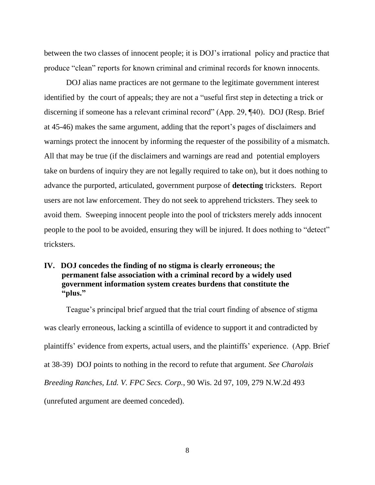between the two classes of innocent people; it is DOJ's irrational policy and practice that produce "clean" reports for known criminal and criminal records for known innocents.

DOJ alias name practices are not germane to the legitimate government interest identified by the court of appeals; they are not a "useful first step in detecting a trick or discerning if someone has a relevant criminal record" (App. 29, ¶40). DOJ (Resp. Brief at 45-46) makes the same argument, adding that the report's pages of disclaimers and warnings protect the innocent by informing the requester of the possibility of a mismatch. All that may be true (if the disclaimers and warnings are read and potential employers take on burdens of inquiry they are not legally required to take on), but it does nothing to advance the purported, articulated, government purpose of **detecting** tricksters. Report users are not law enforcement. They do not seek to apprehend tricksters. They seek to avoid them. Sweeping innocent people into the pool of tricksters merely adds innocent people to the pool to be avoided, ensuring they will be injured. It does nothing to "detect" tricksters.

**IV. DOJ concedes the finding of no stigma is clearly erroneous; the permanent false association with a criminal record by a widely used government information system creates burdens that constitute the "plus."** 

Teague's principal brief argued that the trial court finding of absence of stigma was clearly erroneous, lacking a scintilla of evidence to support it and contradicted by plaintiffs' evidence from experts, actual users, and the plaintiffs' experience. (App. Brief at 38-39) DOJ points to nothing in the record to refute that argument. *See Charolais Breeding Ranches, Ltd. V. FPC Secs. Corp.*, 90 Wis. 2d 97, 109, 279 N.W.2d 493 (unrefuted argument are deemed conceded).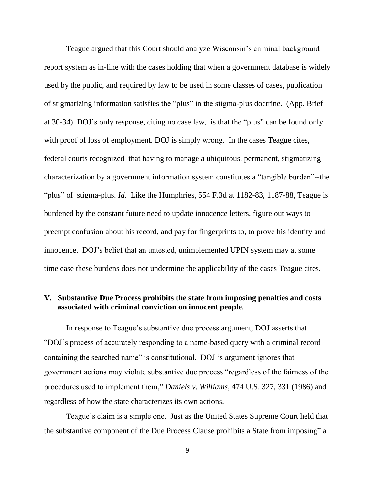Teague argued that this Court should analyze Wisconsin's criminal background report system as in-line with the cases holding that when a government database is widely used by the public, and required by law to be used in some classes of cases, publication of stigmatizing information satisfies the "plus" in the stigma-plus doctrine. (App. Brief at 30-34) DOJ's only response, citing no case law, is that the "plus" can be found only with proof of loss of employment. DOJ is simply wrong. In the cases Teague cites, federal courts recognized that having to manage a ubiquitous, permanent, stigmatizing characterization by a government information system constitutes a "tangible burden"--the "plus" of stigma-plus. *Id.* Like the Humphries, 554 F.3d at 1182-83, 1187-88, Teague is burdened by the constant future need to update innocence letters, figure out ways to preempt confusion about his record, and pay for fingerprints to, to prove his identity and innocence. DOJ's belief that an untested, unimplemented UPIN system may at some time ease these burdens does not undermine the applicability of the cases Teague cites.

# **V. Substantive Due Process prohibits the state from imposing penalties and costs associated with criminal conviction on innocent people***.*

In response to Teague's substantive due process argument, DOJ asserts that "DOJ's process of accurately responding to a name-based query with a criminal record containing the searched name" is constitutional. DOJ 's argument ignores that government actions may violate substantive due process "regardless of the fairness of the procedures used to implement them," *Daniels v. Williams,* 474 U.S. 327, 331 (1986) and regardless of how the state characterizes its own actions.

Teague's claim is a simple one. Just as the United States Supreme Court held that the substantive component of the Due Process Clause prohibits a State from imposing" a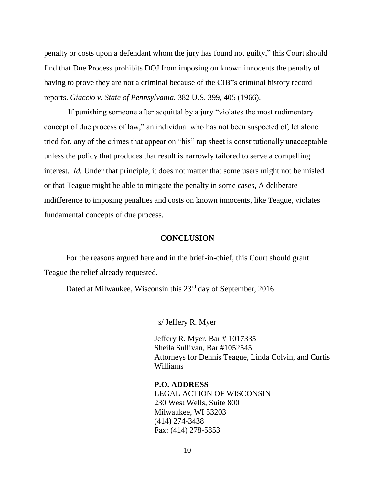penalty or costs upon a defendant whom the jury has found not guilty," this Court should find that Due Process prohibits DOJ from imposing on known innocents the penalty of having to prove they are not a criminal because of the CIB"s criminal history record reports. *Giaccio v. State of Pennsylvania*, 382 U.S. 399, 405 (1966).

If punishing someone after acquittal by a jury "violates the most rudimentary concept of due process of law," an individual who has not been suspected of, let alone tried for, any of the crimes that appear on "his" rap sheet is constitutionally unacceptable unless the policy that produces that result is narrowly tailored to serve a compelling interest. *Id.* Under that principle, it does not matter that some users might not be misled or that Teague might be able to mitigate the penalty in some cases, A deliberate indifference to imposing penalties and costs on known innocents, like Teague, violates fundamental concepts of due process.

#### **CONCLUSION**

For the reasons argued here and in the brief-in-chief, this Court should grant Teague the relief already requested.

Dated at Milwaukee, Wisconsin this 23<sup>rd</sup> day of September, 2016

s/ Jeffery R. Myer

Jeffery R. Myer, Bar # 1017335 Sheila Sullivan, Bar #1052545 Attorneys for Dennis Teague, Linda Colvin, and Curtis Williams

**P.O. ADDRESS** LEGAL ACTION OF WISCONSIN 230 West Wells, Suite 800 Milwaukee, WI 53203 (414) 274-3438 Fax: (414) 278-5853